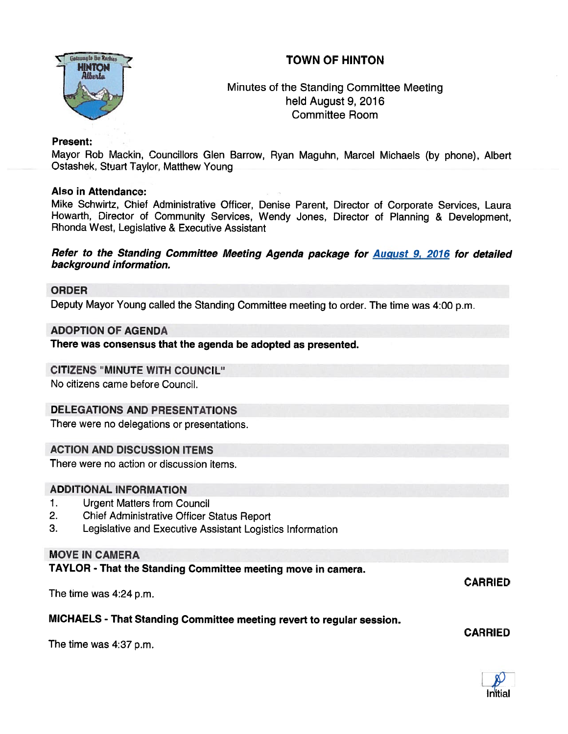# **TOWN OF HINTON**



# Minutes of the Standing Committee Meeting held August 9, 2016 Committee Room

#### Present:

Mayor Rob Mackin, Councillors Glen Barrow, Ryan Maguhn, Marcel Michaels (by <sup>p</sup>hone), Albert Ostashek, Stuart Taylor, Matthew Young

#### Also in Attendance:

Mike Schwirtz, Chief Administrative Officer, Denise Parent, Director of Corporate Services, Laura Howarth. Director of Community Services, Wendy Jones, Director of Planning & Development, Rhonda West, Legislative & Executive Assistant

#### Refer to the Standing Committee Meeting Agenda package for **August 9, 2016** for detailed background information.

#### ORDER

Deputy Mayor Young called the Standing Committee meeting to order. The time was 4:00 p.m.

#### ADOPTION OF AGENDA

There was consensus that the agenda be adopted as presented.

### CITIZENS "MINUTE WITH COUNCIL"

No citizens came before Council.

### DELEGATIONS AND PRESENTATIONS

There were no delegations or presentations.

### ACTION AND DISCUSSION ITEMS

There were no action or discussion items.

## ADDITIONAL INFORMATION

- 1. Urgent Matters from Council
- 2. Chief Administrative Officer Status Report
- 3. Legislative and Executive Assistant Logistics Information

## MOVE IN CAMERA

TAYLOR - That the Standing Committee meeting move in camera.

The time was 4:24 p.m.

### MICHAELS - That Standing Committee meeting revert to regular session.

The time was 4:37 p.m.



CARRIED

CARRIED